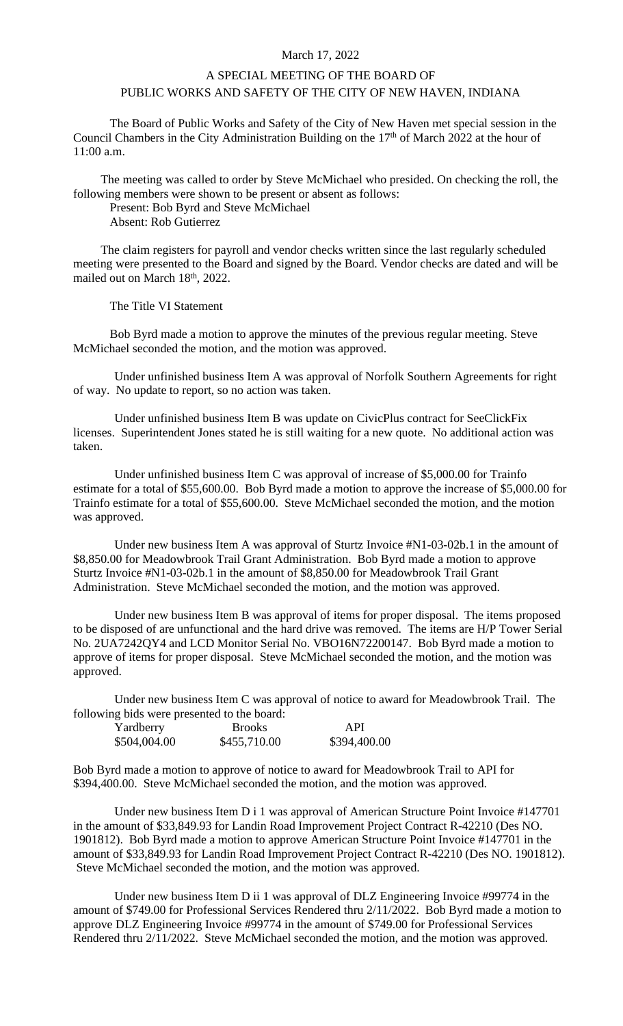## March 17, 2022

## A SPECIAL MEETING OF THE BOARD OF PUBLIC WORKS AND SAFETY OF THE CITY OF NEW HAVEN, INDIANA

The Board of Public Works and Safety of the City of New Haven met special session in the Council Chambers in the City Administration Building on the 17<sup>th</sup> of March 2022 at the hour of 11:00 a.m.

The meeting was called to order by Steve McMichael who presided. On checking the roll, the following members were shown to be present or absent as follows:

Present: Bob Byrd and Steve McMichael

Absent: Rob Gutierrez

The claim registers for payroll and vendor checks written since the last regularly scheduled meeting were presented to the Board and signed by the Board. Vendor checks are dated and will be mailed out on March 18th , 2022.

The Title VI Statement

Bob Byrd made a motion to approve the minutes of the previous regular meeting. Steve McMichael seconded the motion, and the motion was approved.

Under unfinished business Item A was approval of Norfolk Southern Agreements for right of way. No update to report, so no action was taken.

Under unfinished business Item B was update on CivicPlus contract for SeeClickFix licenses. Superintendent Jones stated he is still waiting for a new quote. No additional action was taken.

Under unfinished business Item C was approval of increase of \$5,000.00 for Trainfo estimate for a total of \$55,600.00. Bob Byrd made a motion to approve the increase of \$5,000.00 for Trainfo estimate for a total of \$55,600.00. Steve McMichael seconded the motion, and the motion was approved.

Under new business Item A was approval of Sturtz Invoice #N1-03-02b.1 in the amount of \$8,850.00 for Meadowbrook Trail Grant Administration. Bob Byrd made a motion to approve Sturtz Invoice #N1-03-02b.1 in the amount of \$8,850.00 for Meadowbrook Trail Grant Administration. Steve McMichael seconded the motion, and the motion was approved.

Under new business Item B was approval of items for proper disposal. The items proposed to be disposed of are unfunctional and the hard drive was removed. The items are H/P Tower Serial No. 2UA7242QY4 and LCD Monitor Serial No. VBO16N72200147. Bob Byrd made a motion to approve of items for proper disposal. Steve McMichael seconded the motion, and the motion was approved.

Under new business Item C was approval of notice to award for Meadowbrook Trail. The following bids were presented to the board:

| Yardberry    | <b>Brooks</b> | API.         |
|--------------|---------------|--------------|
| \$504,004.00 | \$455,710.00  | \$394,400.00 |

Bob Byrd made a motion to approve of notice to award for Meadowbrook Trail to API for \$394,400.00. Steve McMichael seconded the motion, and the motion was approved.

Under new business Item D i 1 was approval of American Structure Point Invoice #147701 in the amount of \$33,849.93 for Landin Road Improvement Project Contract R-42210 (Des NO. 1901812). Bob Byrd made a motion to approve American Structure Point Invoice #147701 in the amount of \$33,849.93 for Landin Road Improvement Project Contract R-42210 (Des NO. 1901812). Steve McMichael seconded the motion, and the motion was approved.

Under new business Item D ii 1 was approval of DLZ Engineering Invoice #99774 in the amount of \$749.00 for Professional Services Rendered thru 2/11/2022. Bob Byrd made a motion to approve DLZ Engineering Invoice #99774 in the amount of \$749.00 for Professional Services Rendered thru 2/11/2022. Steve McMichael seconded the motion, and the motion was approved.